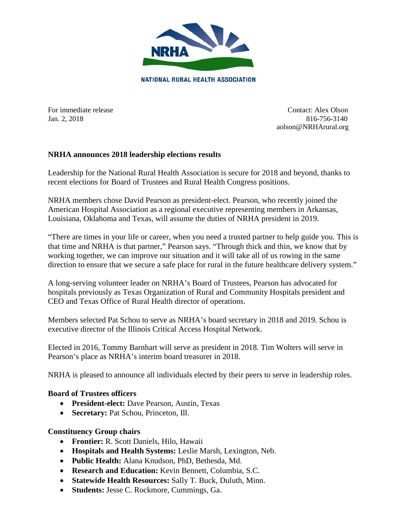

For immediate release Contact: Alex Olson Jan. 2, 2018 816-756-3140 aolson@NRHArural.org

# **NRHA announces 2018 leadership elections results**

Leadership for the National Rural Health Association is secure for 2018 and beyond, thanks to recent elections for Board of Trustees and Rural Health Congress positions.

NRHA members chose David Pearson as president-elect. Pearson, who recently joined the American Hospital Association as a regional executive representing members in Arkansas, Louisiana, Oklahoma and Texas, will assume the duties of NRHA president in 2019.

"There are times in your life or career, when you need a trusted partner to help guide you. This is that time and NRHA is that partner," Pearson says. "Through thick and thin, we know that by working together, we can improve our situation and it will take all of us rowing in the same direction to ensure that we secure a safe place for rural in the future healthcare delivery system."

A long-serving volunteer leader on NRHA's Board of Trustees, Pearson has advocated for hospitals previously as Texas Organization of Rural and Community Hospitals president and CEO and Texas Office of Rural Health director of operations.

Members selected Pat Schou to serve as NRHA's board secretary in 2018 and 2019. Schou is executive director of the Illinois Critical Access Hospital Network.

Elected in 2016, Tommy Barnhart will serve as president in 2018. Tim Wolters will serve in Pearson's place as NRHA's interim board treasurer in 2018.

NRHA is pleased to announce all individuals elected by their peers to serve in leadership roles.

#### **Board of Trustees officers**

- **President-elect:** Dave Pearson, Austin, Texas
- **Secretary:** Pat Schou, Princeton, Ill.

#### **Constituency Group chairs**

- **Frontier:** R. Scott Daniels, Hilo, Hawaii
- **Hospitals and Health Systems:** Leslie Marsh, Lexington, Neb.
- **Public Health:** Alana Knudson, PhD, Bethesda, Md.
- **Research and Education:** Kevin Bennett, Columbia, S.C.
- **Statewide Health Resources:** Sally T. Buck, Duluth, Minn.
- **Students:** Jesse C. Rockmore, Cummings, Ga.